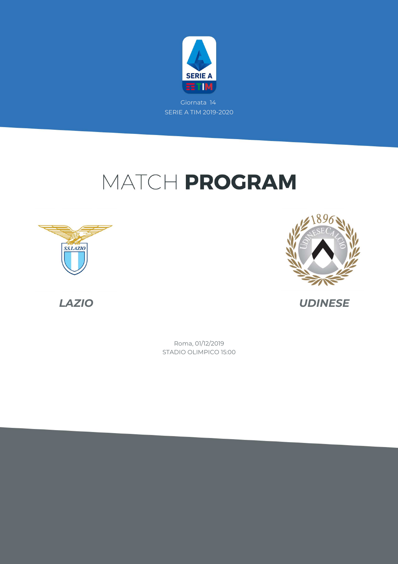

Giornata 14 SERIE A TIM 2019-2020

# MATCH PROGRAM







*LAZIO UDINESE*

STADIO OLIMPICO 15:00 Roma, 01/12/2019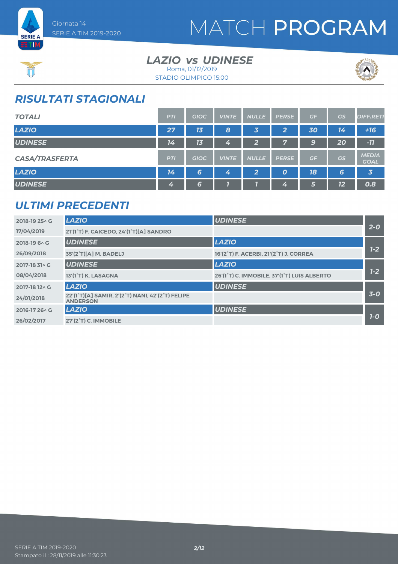

### *LAZIO UDINESE vs* Roma, 01/12/2019

STADIO OLIMPICO 15:00



## *RISULTATI STAGIONALI*

| <b>TOTALI</b>         | <b>PTI</b> | <b>GIOC</b> | <b>VINTE</b>     | <b>NULLE</b>   | <b>PERSE</b> | GF | <b>GS</b> | <b>DIFF.RETI</b>            |
|-----------------------|------------|-------------|------------------|----------------|--------------|----|-----------|-----------------------------|
| <b>LAZIO</b>          | 27         | 13          | $\boldsymbol{8}$ | 3              | 2            | 30 | 14        | $+16$                       |
| <b>UDINESE</b>        | 14         | 13          | 4                | $\mathbf{2}$   | Ly A         | 9  | 20        | $-11$                       |
| <b>CASA/TRASFERTA</b> | <b>PTI</b> | <b>GIOC</b> | <b>VINTE</b>     | <b>NULLE</b>   | <b>PERSE</b> | GF | <b>GS</b> | <b>MEDIA</b><br><b>GOAL</b> |
| <b>LAZIO</b>          | 14         | 6           | 4                | $\overline{2}$ | O            | 18 | 6         | $\overline{\mathbf{3}}$     |
| <b>UDINESE</b>        | 4          | 6           |                  |                | 4            | 5  | 12        | 0.8                         |

### *ULTIMI PRECEDENTI*

| 2018-19 25 \ G | <b>LAZIO</b>                                                        | <b>UDINESE</b>                              |         |
|----------------|---------------------------------------------------------------------|---------------------------------------------|---------|
| 17/04/2019     | 21'(1°T) F. CAICEDO, 24'(1°T)[A] SANDRO                             |                                             | $2 - 0$ |
| 2018-19 6 \ G  | <b>UDINESE</b>                                                      | <b>LAZIO</b>                                |         |
| 26/09/2018     | 35'(2°T)[A] M. BADELJ                                               | 16'(2°T) F. ACERBI, 21'(2°T) J. CORREA      | $1 - 2$ |
| 2017-18 31 \ G | <b>UDINESE</b>                                                      | <b>LAZIO</b>                                |         |
| 08/04/2018     | 13'(1°T) K. LASAGNA                                                 | 26'(1°T) C. IMMOBILE, 37'(1°T) LUIS ALBERTO | $1 - 2$ |
| 2017-18 12 \ G | <b>LAZIO</b>                                                        | <b>UDINESE</b>                              |         |
| 24/01/2018     | 22'(1°T)[A] SAMIR, 2'(2°T) NANI, 42'(2°T) FELIPE<br><b>ANDERSON</b> |                                             | $3-0$   |
| 2016-17 26 \ G | <b>LAZIO</b>                                                        | <b>UDINESE</b>                              |         |
| 26/02/2017     | 27'(2°T) C. IMMOBILE                                                |                                             | $7-0$   |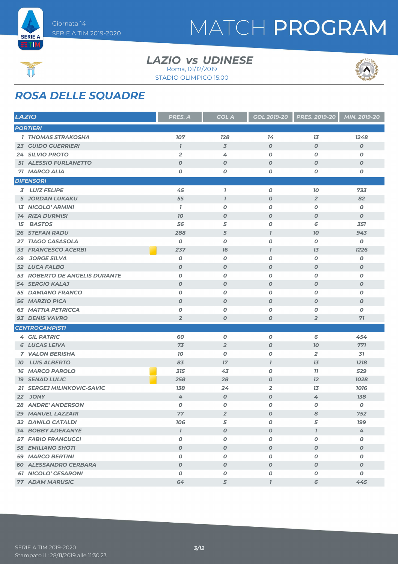



### *LAZIO UDINESE vs* Roma, 01/12/2019

STADIO OLIMPICO 15:00

# *ROSA DELLE SQUADRE*

|      | <b>LAZIO</b>                  | <b>PRES. A</b>      | <b>GOL A</b>     | <b>GOL 2019-20</b> | <b>PRES. 2019-20</b> | MIN. 2019-20     |
|------|-------------------------------|---------------------|------------------|--------------------|----------------------|------------------|
|      | <b>PORTIERI</b>               |                     |                  |                    |                      |                  |
|      | <b>1 THOMAS STRAKOSHA</b>     | 107                 | <b>128</b>       | 14                 | 13                   | 1248             |
|      | <b>23 GUIDO GUERRIERI</b>     | $\boldsymbol{\eta}$ | $\overline{3}$   | $\boldsymbol{O}$   | $\boldsymbol{o}$     | $\boldsymbol{o}$ |
|      | <b>24 SILVIO PROTO</b>        | $\overline{2}$      | 4                | $\boldsymbol{O}$   | O                    | O                |
|      | <b>51 ALESSIO FURLANETTO</b>  | $\boldsymbol{O}$    | $\boldsymbol{o}$ | $\boldsymbol{O}$   | $\boldsymbol{O}$     | $\boldsymbol{o}$ |
|      | 71 MARCO ALIA                 | $\boldsymbol{O}$    | 0                | $\boldsymbol{0}$   | O                    | O                |
|      | <b>DIFENSORI</b>              |                     |                  |                    |                      |                  |
|      | 3 LUIZ FELIPE                 | 45                  | $\mathbf{7}$     | $\boldsymbol{O}$   | 10                   | 733              |
|      | <b>5 JORDAN LUKAKU</b>        | 55                  | $\overline{1}$   | $\boldsymbol{O}$   | $\overline{2}$       | 82               |
|      | <b>13 NICOLO' ARMINI</b>      | $\overline{1}$      | 0                | $\boldsymbol{O}$   | O                    | O                |
|      | <b>14 RIZA DURMISI</b>        | 70                  | $\boldsymbol{0}$ | $\boldsymbol{O}$   | $\boldsymbol{O}$     | $\boldsymbol{o}$ |
| 15   | <b>BASTOS</b>                 | 56                  | 5                | O                  | 6                    | 351              |
|      | <b>26 STEFAN RADU</b>         | 288                 | 5                | $\overline{I}$     | 70                   | 943              |
|      | 27 TIAGO CASASOLA             | $\boldsymbol{0}$    | $\boldsymbol{o}$ | $\boldsymbol{O}$   | 0                    | O                |
|      | <b>33 FRANCESCO ACERBI</b>    | 237                 | 16               | $\overline{1}$     | 13                   | 1226             |
| 49   | <b>JORGE SILVA</b>            | O                   | O                | $\boldsymbol{O}$   | 0                    | O                |
|      | 52 LUCA FALBO                 | $\boldsymbol{O}$    | $\boldsymbol{0}$ | $\boldsymbol{O}$   | $\boldsymbol{O}$     | $\boldsymbol{o}$ |
|      | 53 ROBERTO DE ANGELIS DURANTE | $\boldsymbol{O}$    | $\pmb{o}$        | $\boldsymbol{o}$   | O                    | O                |
|      | <b>54 SERGIO KALAJ</b>        | $\boldsymbol{O}$    | $\boldsymbol{0}$ | $\boldsymbol{O}$   | $\boldsymbol{O}$     | $\boldsymbol{o}$ |
|      | <b>55 DAMIANO FRANCO</b>      | $\boldsymbol{O}$    | $\boldsymbol{O}$ | $\boldsymbol{O}$   | O                    | O                |
|      | <b>56 MARZIO PICA</b>         | $\boldsymbol{O}$    | $\boldsymbol{o}$ | $\boldsymbol{0}$   | $\boldsymbol{O}$     | $\boldsymbol{o}$ |
|      | <b>63 MATTIA PETRICCA</b>     | $\boldsymbol{O}$    | $\pmb{o}$        | $\boldsymbol{O}$   | O                    | O                |
|      | 93 DENIS VAVRO                | $\overline{2}$      | $\boldsymbol{O}$ | $\boldsymbol{O}$   | $\overline{2}$       | 71               |
|      | <b>CENTROCAMPISTI</b>         |                     |                  |                    |                      |                  |
|      | <b>4 GIL PATRIC</b>           | 60                  | 0                | $\boldsymbol{O}$   | 6                    | 454              |
|      | <b>6 LUCAS LEIVA</b>          | 73                  | $\overline{2}$   | $\boldsymbol{O}$   | 70                   | 771              |
|      | <b>7 VALON BERISHA</b>        | 70                  | $\boldsymbol{o}$ | $\pmb{o}$          | $\overline{2}$       | 31               |
| 70 I | <b>LUIS ALBERTO</b>           | 83                  | $17\,$           | $\overline{1}$     | 13                   | 1218             |
|      | <b>16 MARCO PAROLO</b>        | 315                 | 43               | $\boldsymbol{0}$   | 77                   | 529              |
|      | <b>19 SENAD LULIC</b>         | 258                 | 28               | $\boldsymbol{O}$   | 12                   | 1028             |
|      | 21 SERGEJ MILINKOVIC-SAVIC    | 138                 | 24               | $\overline{2}$     | 13                   | 1016             |
|      | <b>22 JONY</b>                | 4                   | $\boldsymbol{O}$ | $\boldsymbol{O}$   | 4                    | 138              |
|      | <b>28 ANDRE' ANDERSON</b>     | 0                   | 0                | $\boldsymbol{0}$   | 0                    | O                |
|      | 29 MANUEL LAZZARI             | 77                  | 2                | $\boldsymbol{O}$   | 8                    | 752              |
|      | <b>32 DANILO CATALDI</b>      | 706                 | 5                | O                  | 5                    | <b>199</b>       |
|      | <b>34 BOBBY ADEKANYE</b>      | $\mathbf{I}$        | $\boldsymbol{O}$ | $\boldsymbol{O}$   | $\mathbf{7}$         | 4                |
|      | <b>57 FABIO FRANCUCCI</b>     | 0                   | 0                | 0                  | 0                    | 0                |
|      | <b>58 EMILIANO SHOTI</b>      | $\boldsymbol{O}$    | $\boldsymbol{O}$ | $\boldsymbol{O}$   | $\boldsymbol{o}$     | $\boldsymbol{o}$ |
|      | <b>59 MARCO BERTINI</b>       | $\pmb{o}$           | $\pmb{o}$        | $\pmb{o}$          | O                    | O                |
|      | <b>60 ALESSANDRO CERBARA</b>  | $\boldsymbol{O}$    | $\boldsymbol{o}$ | $\boldsymbol{o}$   | 0                    | $\boldsymbol{o}$ |
|      | <b>61 NICOLO' CESARONI</b>    | 0                   | 0                | 0                  | 0                    | 0                |
|      | <b>77 ADAM MARUSIC</b>        | 64                  | 5                | $\overline{I}$     | 6                    | 445              |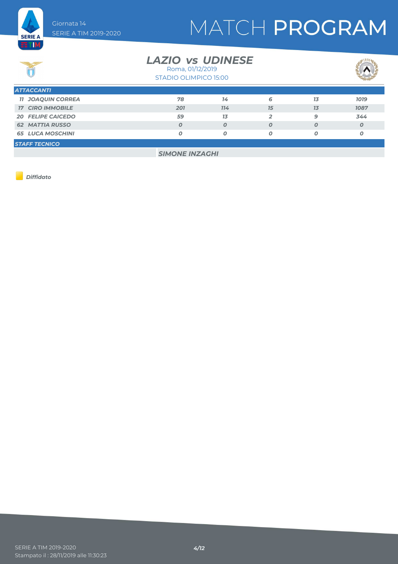

### *LAZIO UDINESE vs*

STADIO OLIMPICO 15:00 Roma, 01/12/2019



| <b>ATTACCANTI</b>        |     |                |    |    |             |
|--------------------------|-----|----------------|----|----|-------------|
| <b>11 JOAQUIN CORREA</b> | 78  | 14             | 6  | 13 | <b>1019</b> |
| <b>17 CIRO IMMOBILE</b>  | 201 | 714            | 15 | 13 | 1087        |
| <b>20 FELIPE CAICEDO</b> | 59  | 1 <sub>3</sub> | 2  | Q  | 344         |
| <b>62 MATTIA RUSSO</b>   |     | Ο              | O  |    | Ο           |
| <b>65 LUCA MOSCHINI</b>  |     | Ο              |    |    | Ο           |
| <b>STAFF TECNICO</b>     |     |                |    |    |             |

*SIMONE INZAGHI*

*Diffidato*

**SERIE A ET M** 

 $\overline{\mathbf{C}(\mathbf{C})}$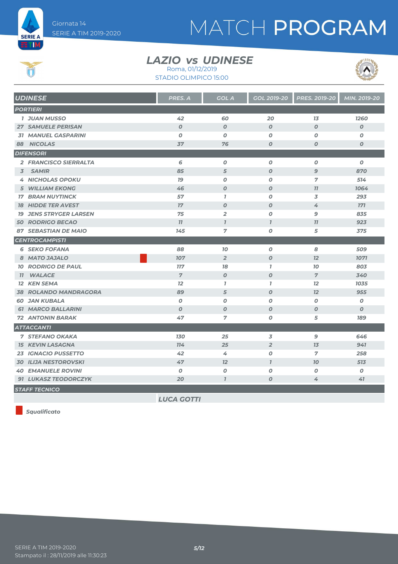

 $\bigcirc$ 

# MATCH PROGRAM

### *LAZIO UDINESE vs*

STADIO OLIMPICO 15:00 Roma, 01/12/2019



| <b>UDINESE</b>                | <b>PRES. A</b>    | <b>GOL A</b>     | <b>GOL 2019-20</b> | <b>PRES. 2019-20</b> | MIN. 2019-20     |
|-------------------------------|-------------------|------------------|--------------------|----------------------|------------------|
| <b>PORTIERI</b>               |                   |                  |                    |                      |                  |
| <b>1 JUAN MUSSO</b>           | 42                | 60               | 20                 | 13                   | 1260             |
| <b>27 SAMUELE PERISAN</b>     | $\boldsymbol{O}$  | $\boldsymbol{0}$ | $\boldsymbol{O}$   | $\boldsymbol{O}$     | $\boldsymbol{0}$ |
| <b>31 MANUEL GASPARINI</b>    | $\boldsymbol{O}$  | $\boldsymbol{O}$ | $\boldsymbol{O}$   | O                    | $\boldsymbol{O}$ |
| 88 NICOLAS                    | 37                | 76               | $\boldsymbol{O}$   | $\boldsymbol{O}$     | $\boldsymbol{O}$ |
| <b>DIFENSORI</b>              |                   |                  |                    |                      |                  |
| 2 FRANCISCO SIERRALTA         | 6                 | $\boldsymbol{O}$ | 0                  | 0                    | $\boldsymbol{o}$ |
| 3 SAMIR                       | 85                | 5                | $\boldsymbol{O}$   | $\overline{9}$       | 870              |
| <b>4 NICHOLAS OPOKU</b>       | 79                | $\boldsymbol{0}$ | 0                  | 7                    | 514              |
| <b>5 WILLIAM EKONG</b>        | 46                | $\boldsymbol{O}$ | $\boldsymbol{0}$   | 77                   | 1064             |
| <b>17 BRAM NUYTINCK</b>       | 57                | $\mathbf{7}$     | $\boldsymbol{O}$   | 3                    | 293              |
| <b>18 HIDDE TER AVEST</b>     | 17                | $\boldsymbol{O}$ | $\boldsymbol{O}$   | 4                    | $171$            |
| <b>19 JENS STRYGER LARSEN</b> | 75                | $\overline{2}$   | 0                  | 9                    | 835              |
| <b>50 RODRIGO BECAO</b>       | 77                | $\mathbf{I}$     | $\mathbf{I}$       | 77                   | 923              |
| <b>87 SEBASTIAN DE MAIO</b>   | 145               | $\overline{7}$   | $\boldsymbol{o}$   | 5                    | 375              |
| <b>CENTROCAMPISTI</b>         |                   |                  |                    |                      |                  |
| <b>6 SEKO FOFANA</b>          | 88                | 10               | $\boldsymbol{O}$   | 8                    | 509              |
| 8 MATO JAJALO                 | 107               | $\overline{2}$   | $\boldsymbol{O}$   | 12                   | 1071             |
| <b>10 RODRIGO DE PAUL</b>     | <b>117</b>        | 78               | $\mathbf{I}$       | 70                   | 803              |
| <b>WALACE</b><br>77           | $\overline{7}$    | $\boldsymbol{O}$ | $\boldsymbol{O}$   | $\overline{7}$       | 340              |
| <b>12 KEN SEMA</b>            | 12                | $\mathbf{I}$     | $\mathbf{I}$       | 12                   | 1035             |
| <b>38 ROLANDO MANDRAGORA</b>  | 89                | 5                | $\boldsymbol{o}$   | 12                   | 955              |
| <b>60 JAN KUBALA</b>          | $\boldsymbol{0}$  | $\boldsymbol{O}$ | $\boldsymbol{o}$   | 0                    | $\boldsymbol{o}$ |
| <b>61 MARCO BALLARINI</b>     | $\boldsymbol{0}$  | $\boldsymbol{O}$ | $\boldsymbol{O}$   | $\boldsymbol{O}$     | $\boldsymbol{0}$ |
| <b>72 ANTONIN BARAK</b>       | 47                | $\overline{7}$   | $\boldsymbol{o}$   | 5                    | 189              |
| <b>ATTACCANTI</b>             |                   |                  |                    |                      |                  |
| <b>7 STEFANO OKAKA</b>        | <b>130</b>        | 25               | 3                  | 9                    | 646              |
| <b>15 KEVIN LASAGNA</b>       | 774               | 25               | $\overline{2}$     | 13                   | 941              |
| 23 IGNACIO PUSSETTO           | 42                | 4                | 0                  | $\overline{7}$       | 258              |
| <b>30 ILIJA NESTOROVSKI</b>   | 47                | 12               | $\mathbf{I}$       | 70                   | 513              |
| <b>40 EMANUELE ROVINI</b>     | $\boldsymbol{o}$  | $\boldsymbol{o}$ | 0                  | 0                    | $\boldsymbol{o}$ |
| 91 LUKASZ TEODORCZYK          | 20                | $\overline{1}$   | 0                  | 4                    | 41               |
| <b>STAFF TECNICO</b>          |                   |                  |                    |                      |                  |
|                               | <b>LUCA GOTTI</b> |                  |                    |                      |                  |

*Squalificato*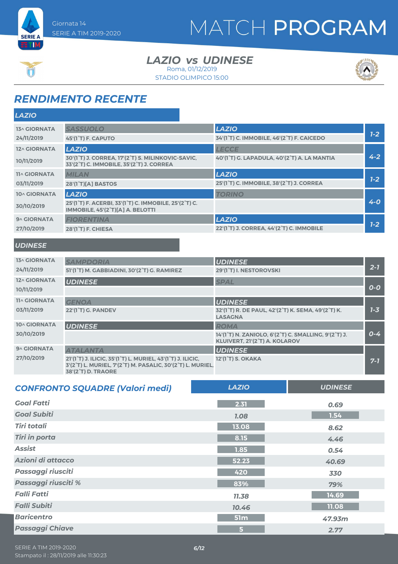**SERIE A ETIM** 

### *LAZIO UDINESE vs* Roma, 01/12/2019

STADIO OLIMPICO 15:00



# *RENDIMENTO RECENTE*

| <b>LAZIO</b>        |                                                                                                                                  |                                             |         |
|---------------------|----------------------------------------------------------------------------------------------------------------------------------|---------------------------------------------|---------|
| <b>13^ GIORNATA</b> | <b>SASSUOLO</b>                                                                                                                  | <b>LAZIO</b>                                |         |
| 24/11/2019          | 45'(1 <sup>°</sup> T) F. CAPUTO                                                                                                  | 34'(1°T) C. IMMOBILE, 46'(2°T) F. CAICEDO   | $1 - 2$ |
| 12^ GIORNATA        | <b>LAZIO</b>                                                                                                                     | <b>LECCE</b>                                |         |
| 10/11/2019          | 30'(1°T) J. CORREA, 17'(2°T) S. MILINKOVIC-SAVIC,<br>33'(2°T) C. IMMOBILE, 35'(2°T) J. CORREA                                    | 40'(1°T) G. LAPADULA, 40'(2°T) A. LA MANTIA | $4 - 2$ |
| <b>11^ GIORNATA</b> | <b>MILAN</b>                                                                                                                     | <b>LAZIO</b>                                |         |
| 03/11/2019          | 28'(1 <sup>°</sup> T)[A] BASTOS                                                                                                  | 25'(1°T) C. IMMOBILE, 38'(2°T) J. CORREA    | $7-2$   |
| 10^ GIORNATA        | <b>LAZIO</b>                                                                                                                     | <b>TORINO</b>                               |         |
| 30/10/2019          | 25'(1 <sup>°</sup> T) F. ACERBI, 33'(1 <sup>°</sup> T) C. IMMOBILE, 25'(2 <sup>°</sup> T) C.<br>IMMOBILE, 45'(2°T)[A] A. BELOTTI |                                             | $4 - 0$ |
| 9^ GIORNATA         | <b>FIORENTINA</b>                                                                                                                | <b>LAZIO</b>                                |         |
| 27/10/2019          | <b>28'(1<sup>°</sup>T) F. CHIESA</b>                                                                                             | 22'(1°T) J. CORREA, 44'(2°T) C. IMMOBILE    | $7-2$   |
|                     |                                                                                                                                  |                                             |         |

### *UDINESE*

| <b>13^ GIORNATA</b> | <b>SAMPDORIA</b>                                                                                                                                                                              | <b>UDINESE</b>                                                                                     |         |
|---------------------|-----------------------------------------------------------------------------------------------------------------------------------------------------------------------------------------------|----------------------------------------------------------------------------------------------------|---------|
| 24/11/2019          | 51'(1°T) M. GABBIADINI, 30'(2°T) G. RAMIREZ                                                                                                                                                   | 29'(1°T) I. NESTOROVSKI                                                                            | $2 - 7$ |
| 12^ GIORNATA        | <b>UDINESE</b>                                                                                                                                                                                | <b>SPAL</b>                                                                                        |         |
| 10/11/2019          |                                                                                                                                                                                               |                                                                                                    | $O-O$   |
| <b>11^ GIORNATA</b> | <b>GENOA</b>                                                                                                                                                                                  | <b>UDINESE</b>                                                                                     |         |
| 03/11/2019          | 22'(1 <sup>°</sup> T) G. PANDEV                                                                                                                                                               | 32'(1°T) R. DE PAUL, 42'(2°T) K. SEMA, 49'(2°T) K.<br><b>LASAGNA</b>                               | $7 - 3$ |
| <b>10^ GIORNATA</b> | <b>UDINESE</b>                                                                                                                                                                                | <b>ROMA</b>                                                                                        |         |
| 30/10/2019          |                                                                                                                                                                                               | 14'(1°T) N. ZANIOLO, 6'(2°T) C. SMALLING, 9'(2°T) J.<br>KLUIVERT, 21'(2 <sup>°</sup> T) A. KOLAROV | $0 - 4$ |
| 9^ GIORNATA         | <b>ATALANTA</b>                                                                                                                                                                               | <b>UDINESE</b>                                                                                     |         |
| 27/10/2019          | 21'(1 <sup>°</sup> T) J. ILICIC, 35'(1 <sup>°</sup> T) L. MURIEL, 43'(1 <sup>°</sup> T) J. ILICIC,<br>3'(2°T) L. MURIEL, 7'(2°T) M. PASALIC, 30'(2°T) L. MURIEL,<br><b>38'(2°T) D. TRAORE</b> | 12'(1 <sup>°</sup> T) S. OKAKA                                                                     | $7 - 7$ |

| <b>CONFRONTO SQUADRE (Valori medi)</b> | <b>LAZIO</b> | <b>UDINESE</b> |
|----------------------------------------|--------------|----------------|
| <b>Goal Fatti</b>                      | 2.31         | 0.69           |
| <b>Goal Subiti</b>                     | <b>1.08</b>  | 1.54           |
| <b>Tiri totali</b>                     | 13.08        | 8.62           |
| <b>Tiri in porta</b>                   | 8.15         | 4.46           |
| <b>Assist</b>                          | 1.85         | 0.54           |
| Azioni di attacco                      | 52.23        | 40.69          |
| <b>Passaggi riusciti</b>               | 420          | 330            |
| Passaggi riusciti %                    | 83%          | 79%            |
| <b>Falli Fatti</b>                     | 11.38        | 14.69          |
| <b>Falli Subiti</b>                    | 10.46        | 11.08          |
| <b>Baricentro</b>                      | 51m          | 47.93m         |
| <b>Passaggi Chiave</b>                 | 5            | 2.77           |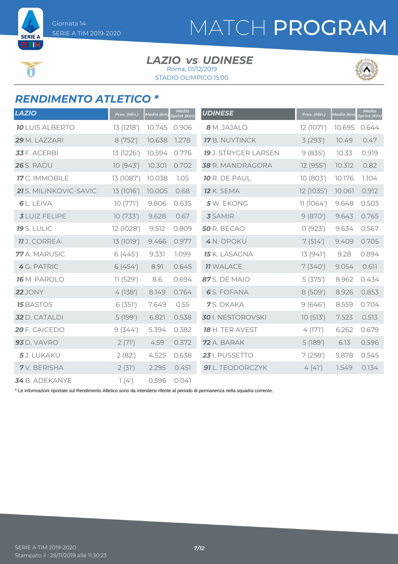**SERIE A** ETIM

# MATCH PROGRAM

#### *LAZIO UDINESE vs* Roma, 01/12/2019

STADIO OLIMPICO 15:00



### *RENDIMENTO ATLETICO \**

| <b>LAZIO</b>                                                                                  | Pres. (Min.) | Media (km)           | <b>Media</b><br>print (Km) | <b>UDINESE</b>              | Pres. (Min.) | Media (km) | <b>Media</b><br>Sprint (Km) |
|-----------------------------------------------------------------------------------------------|--------------|----------------------|----------------------------|-----------------------------|--------------|------------|-----------------------------|
| <b>10 LUIS ALBERTO</b>                                                                        | 13 (1218')   | 10.745               | 0.906                      | 8 M. JAJALO                 | 12 (1071')   | 10.695     | 0.644                       |
| 29 M. LAZZARI                                                                                 | 8 (752')     | 10.638               | 1.278                      | <b>17</b> B. NUYTINCK       | 3(293)       | 10.49      | 0.47                        |
| 33 F. ACERBI                                                                                  | 13 (1226')   | 10.594               | 0.776                      | <b>19</b> J. STRYGER LARSEN | 9(835)       | 10.33      | 0.919                       |
| <b>26</b> S. RADU                                                                             | 10(943)      | 10.301               | 0.702                      | 38 R. MANDRAGORA            | 12 (955')    | 10.312     | 0.82                        |
| 17 C. IMMOBILE                                                                                | 13 (1087')   | 10.038               | 1.05                       | 10 R. DE PAUL               | 10 (803')    | 10.176     | 1.104                       |
| 21 S. MILINKOVIC-SAVIC                                                                        | 13 (1016')   | 10.005               | 0.68                       | <b>12</b> K. SEMA           | 12 (1035')   | 10.061     | 0.912                       |
| 6 L. LEIVA                                                                                    | 10(771)      | 9.806                | 0.635                      | 5 W. EKONG                  | 11(1064)     | 9.648      | 0.503                       |
| <b>3</b> LUIZ FELIPE                                                                          | 10(733)      | 9.628                | 0.67                       | <b>3</b> SAMIR              | 9(870)       | 9.643      | 0.765                       |
| <b>19</b> S. LULIC                                                                            | 12 (1028')   | 9.512                | 0.809                      | <b>50 R. BECAO</b>          | 11(923')     | 9.634      | 0.567                       |
| <b>11</b> J. CORREA                                                                           | 13 (1019')   | 9.466                | 0.977                      | 4 N. OPOKU                  | 7(514)       | 9.409      | 0.705                       |
| 77 A. MARUSIC                                                                                 | 6(445)       | 9.331                | 1.099                      | <b>15</b> K. LASAGNA        | 13(941)      | 9.28       | 0.894                       |
| 4 G. PATRIC                                                                                   | 6(454)       | 8.91                 | 0.645                      | <b>11 WALACE</b>            | 7(340)       | 9.054      | 0.611                       |
| <b>16</b> M. PAROLO                                                                           | 11(529')     | 8.6                  | 0.694                      | 87 S. DE MAIO               | 5(375)       | 8.962      | 0.434                       |
| <b>22</b> JONY                                                                                | 4(138)       | 8.149                | 0.764                      | <b>6</b> S. FOFANA          | 8 (509')     | 8.926      | 0.853                       |
| <b>15 BASTOS</b>                                                                              | 6(351)       | 7.649                | 0.55                       | 7S. OKAKA                   | 9(646)       | 8.559      | 0.704                       |
| 32 D. CATALDI                                                                                 | 5 (199')     | 6.821                | 0.538                      | 30 I. NESTOROVSKI           | 10(513)      | 7.523      | 0.513                       |
| 20 F. CAICEDO                                                                                 | 9(344)       | 5.394                | 0.382                      | 18 H. TER AVEST             | 4(171)       | 6.262      | 0.679                       |
| <b>93</b> D. VAVRO                                                                            | 2(71)        | 4.59                 | 0.372                      | 72 A. BARAK                 | 5 (189')     | 6.13       | 0.596                       |
| 5J. LUKAKU                                                                                    | 2(82)        | 4.525                | 0.638                      | 23 I. PUSSETTO              | 7(258)       | 5.878      | 0.545                       |
| <b>7</b> V. BERISHA                                                                           | 2(31)        | 2.295                | 0.451                      | 91 L. TEODORCZYK            | 4(41)        | 1.549      | 0.134                       |
| $\bullet \rightarrow \bullet \bullet \bullet \bullet \bullet \bullet \bullet \bullet \bullet$ | $-1$ $(1)$   | $\sim$ $\sim$ $\sim$ |                            |                             |              |            |                             |

B. ADEKANYE 1(4') 0.596 0.041

\* Le informazioni riportate sul Rendimento Atletico sono da intendersi riferite al periodo di permanenza nella squadra corrente.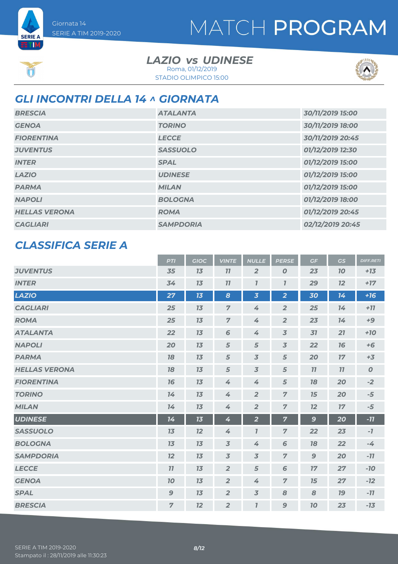**SERIE A ETIM** 

### *LAZIO UDINESE vs* Roma, 01/12/2019

STADIO OLIMPICO 15:00



## *GLI INCONTRI DELLA 14 ^ GIORNATA*

| <b>BRESCIA</b>       | <b>ATALANTA</b>  | 30/11/2019 15:00 |
|----------------------|------------------|------------------|
| <b>GENOA</b>         | <b>TORINO</b>    | 30/11/2019 18:00 |
| <b>FIORENTINA</b>    | <b>LECCE</b>     | 30/11/2019 20:45 |
| <b>JUVENTUS</b>      | <b>SASSUOLO</b>  | 01/12/2019 12:30 |
| <b>INTER</b>         | <b>SPAL</b>      | 01/12/2019 15:00 |
| <b>LAZIO</b>         | <b>UDINESE</b>   | 01/12/2019 15:00 |
| <b>PARMA</b>         | <b>MILAN</b>     | 01/12/2019 15:00 |
| <b>NAPOLI</b>        | <b>BOLOGNA</b>   | 01/12/2019 18:00 |
| <b>HELLAS VERONA</b> | <b>ROMA</b>      | 01/12/2019 20:45 |
| <b>CAGLIARI</b>      | <b>SAMPDORIA</b> | 02/12/2019 20:45 |

### *CLASSIFICA SERIE A*

|                      | <b>PTI</b>       | <b>GIOC</b> | <b>VINTE</b>     | <b>NULLE</b>            | <b>PERSE</b>            | GF           | GS        | <b>DIFF.RETI</b> |
|----------------------|------------------|-------------|------------------|-------------------------|-------------------------|--------------|-----------|------------------|
| <b>JUVENTUS</b>      | 35               | 13          | 11               | $\overline{2}$          | $\boldsymbol{O}$        | 23           | <b>10</b> | $+13$            |
| <b>INTER</b>         | 34               | 13          | 11               | $\overline{I}$          | $\overline{I}$          | 29           | 12        | $+17$            |
| <b>LAZIO</b>         | 27               | 13          | $\boldsymbol{8}$ | $\overline{\mathbf{3}}$ | $\overline{2}$          | 30           | 14        | $+16$            |
| <b>CAGLIARI</b>      | 25               | 13          | $\overline{7}$   | 4                       | $\overline{2}$          | 25           | 14        | $+77$            |
| <b>ROMA</b>          | 25               | 13          | $\overline{7}$   | 4                       | $\overline{2}$          | 23           | 14        | $+9$             |
| <b>ATALANTA</b>      | 22               | 13          | 6                | 4                       | $\overline{3}$          | 31           | 21        | $+70$            |
| <b>NAPOLI</b>        | 20               | 13          | 5                | 5                       | $\overline{\mathbf{3}}$ | 22           | 76        | $+6$             |
| <b>PARMA</b>         | 18               | 13          | 5                | $\overline{3}$          | $\overline{5}$          | 20           | 17        | $+3$             |
| <b>HELLAS VERONA</b> | 18               | 13          | 5                | $\overline{3}$          | 5                       | 11           | 11        | $\boldsymbol{O}$ |
| <b>FIORENTINA</b>    | 16               | 13          | 4                | 4                       | $\sqrt{5}$              | 18           | 20        | $-2$             |
| <b>TORINO</b>        | 14               | 13          | 4                | $\overline{2}$          | $\overline{7}$          | 15           | 20        | $-5$             |
| <b>MILAN</b>         | 14               | 13          | $\overline{4}$   | $\overline{2}$          | $\overline{7}$          | 12           | 17        | $-5$             |
| <b>UDINESE</b>       | 14               | 13          | 4                | $\overline{\mathbf{2}}$ | 7                       | $\mathbf{9}$ | 20        | $-77$            |
| <b>SASSUOLO</b>      | 13               | 12          | 4                | $\bf{7}$                | $\overline{7}$          | 22           | 23        | $-7$             |
| <b>BOLOGNA</b>       | 13               | 13          | $\overline{3}$   | 4                       | 6                       | 78           | 22        | $-4$             |
| <b>SAMPDORIA</b>     | 12               | 13          | $\overline{3}$   | $\overline{3}$          | $\overline{7}$          | 9            | 20        | $-11$            |
| <b>LECCE</b>         | 11               | 13          | $\overline{2}$   | 5                       | 6                       | 17           | 27        | $-10$            |
| <b>GENOA</b>         | 70               | 13          | $\overline{2}$   | 4                       | $\overline{7}$          | 15           | 27        | $-12$            |
| <b>SPAL</b>          | $\boldsymbol{9}$ | 13          | $\overline{2}$   | $\overline{\mathbf{3}}$ | 8                       | 8            | <b>19</b> | $-11$            |
| <b>BRESCIA</b>       | $\overline{7}$   | 12          | $\overline{2}$   | $\mathbf{I}$            | $\mathbf{9}$            | 10           | 23        | $-13$            |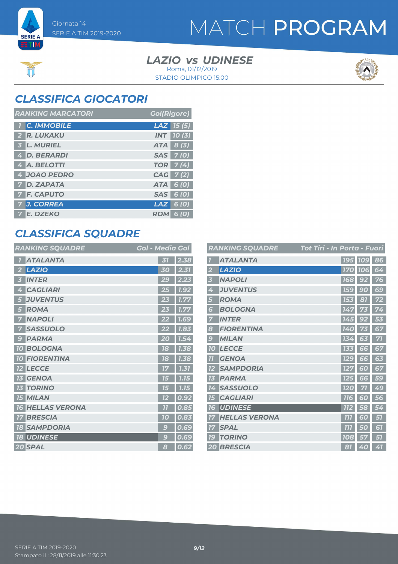**SERIE A ETM** 

# MATCH PROGRAM

#### *LAZIO UDINESE vs* STADIO OLIMPICO 15:00 Roma, 01/12/2019



## *CLASSIFICA GIOCATORI*

| <b>RANKING MARCATORI</b> | <b>Gol(Rigore)</b>    |
|--------------------------|-----------------------|
| <b>C. IMMOBILE</b>       | $\textsf{LAZ}$ 15 (5) |
| R. LUKAKU                | <b>INT 10(3)</b>      |
| 3 L. MURIEL              | $ATA \vert 8(3)$      |
| 4 D. BERARDI             | SAS 7(0)              |
| 4 A. BELOTTI             | <b>TOR</b> 7(4)       |
| 4 JOAO PEDRO             | CAG 7 (2)             |
| <b>7 D. ZAPATA</b>       | ATA 6 (0)             |
| <b>7 F. CAPUTO</b>       | 6(0)<br><b>SAS</b>    |
| J. CORREA                | LAZ I<br>6 (O)        |
| <b>E. DZEKO</b>          | <b>ROM</b><br>6 (O)   |

## *CLASSIFICA SQUADRE*

| <b>RANKING SQUADRE</b>         | <b>Gol - Media Gol</b>  |
|--------------------------------|-------------------------|
| <b>ATALANTA</b>                | $\overline{31}$<br>2.38 |
| <b>LAZIO</b>                   | 2.31<br>30              |
| <b>INTER</b>                   | 29<br>2.23              |
| <b>CAGLIARI</b>                | <b>1.92</b>             |
| <b>JUVENTUS</b>                | 1.77                    |
| <b>ROMA</b><br>5               | 1.77<br>23              |
| <b>NAPOLI</b>                  | <b>7.69</b>             |
| <b>SASSUOLO</b>                | 1.83<br>22              |
| <b>PARMA</b><br>$\mathbf{C}$   | 20<br>1.54              |
| <b>BOLOGNA</b><br>70           | 18<br>1.38              |
| <b>FIORENTINA</b><br><b>10</b> | 18<br>1.38              |
| <b>LECCE</b>                   | 1.31                    |
| <b>GENOA</b>                   | 1.15                    |
| <b>TORINO</b><br>13            | 1.15<br>75              |
| <b>15 MILAN</b>                | 0.92<br>12              |
| <b>HELLAS VERONA</b><br>16     | $\overline{1}$<br>0.85  |
| <b>BRESCIA</b><br>17           | 0.83<br>70              |
| <b>SAMPDORIA</b><br>18         | $\mathbf{C}$<br>0.69    |
| <b>UDINESE</b><br><b>18</b>    | 0.69<br>$\mathbf{C}$    |
| 20 SPAL                        | 0.62<br>8               |

|                | <b>RANKING SQUADRE</b> | Tot Tiri - In Porta - Fuori |                       |    |
|----------------|------------------------|-----------------------------|-----------------------|----|
|                | <b>ATALANTA</b>        |                             | 195   109             | 86 |
|                | <b>LAZIO</b>           | <b>170</b>                  | <b>106</b>            | 64 |
|                | <b>NAPOLI</b>          | <b>168</b>                  | 92                    | 76 |
| 4              | <b>JUVENTUS</b>        | 159                         | g<br>O                | 69 |
| 5              | <b>ROMA</b>            | <b>153</b>                  | 81                    | 72 |
| 6              | <b>BOLOGNA</b>         | 147                         | 73                    | 74 |
| 7              | <b>INTER</b>           | 145                         | 92                    | 53 |
| 8              | <b>FIORENTINA</b>      | 140                         |                       | 67 |
| $\mathcal{G}$  | <b>MILAN</b>           | 134                         | 63                    | 71 |
| <b>10</b>      | <b>LECCE</b>           | 133                         | 66                    | 67 |
| $\overline{1}$ | <b>GENOA</b>           | <b>129</b>                  | 66                    | 63 |
| כו             | <b>SAMPDORIA</b>       | 127                         | 60                    | 67 |
| 73             | <b>PARMA</b>           | 125                         | 66                    | 59 |
| 14             | <b>SASSUOLO</b>        | <b>120</b>                  | 51                    | 49 |
| 15             | <b>CAGLIARI</b>        | <b>116</b>                  | 60                    | 56 |
| 7<br>6         | <b>UDINESE</b>         | <b>112</b>                  | 58                    | 54 |
|                | <b>HELLAS VERONA</b>   | זוז                         | 6<br>$\boldsymbol{0}$ | 51 |
| 17             | <b>SPAL</b>            | 111                         | 50                    | 67 |
| 19             | <b>TORINO</b>          | <b>108</b>                  | 57                    | 57 |
|                | <b>20 BRESCIA</b>      | 81                          | 40                    | 41 |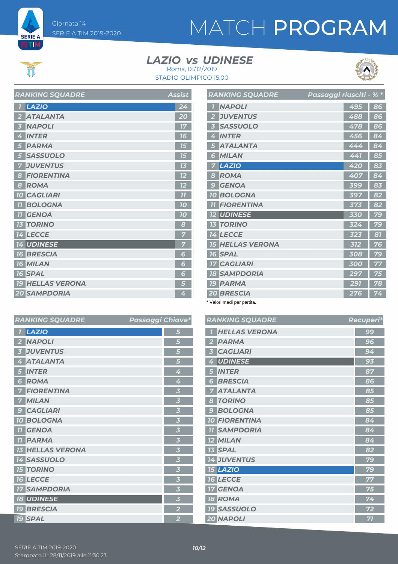

**SERIE A ETIM** 

# MATCH PROGRAM

### *LAZIO UDINESE vs*





|                  | בתשמש טיוויוויוריו      | <b>TOOIOG</b>   |
|------------------|-------------------------|-----------------|
| $\overline{1}$   | LAZIO                   | 24              |
| -2               | <b>ATALANTA</b>         | $\overline{20}$ |
| $\overline{3}$   | <b>NAPOLI</b>           | 17              |
| 4                | <b>INTER</b>            | 16              |
| 5                | <b>PARMA</b>            | 15              |
| 5                | <b>SASSUOLO</b>         | 15              |
| 7                | <b>JUVENTUS</b>         | 7 <sub>3</sub>  |
| $\boldsymbol{8}$ | <b>FIORENTINA</b>       | 12              |
| $\boldsymbol{8}$ | <b>ROMA</b>             | 12              |
|                  | <b>10 CAGLIARI</b>      | 77              |
|                  | <b>11 BOLOGNA</b>       | 10              |
|                  | <b>11 GENOA</b>         | 10              |
|                  | <b>13 TORINO</b>        | 8               |
|                  | 14 LECCE                | 7               |
|                  | <b>14 UDINESE</b>       | 7               |
|                  | <b>16 BRESCIA</b>       | 6               |
|                  | <b>16 MILAN</b>         | 6               |
|                  | <b>16 SPAL</b>          | 6               |
|                  | <b>19 HELLAS VERONA</b> | 5               |
|                  | <b>20 SAMPDORIA</b>     | 4               |

*RANKING SQUADRE Assist*

|                          | <b>RANKING SQUADRE</b>  | Passaggi riusciti - % * |     |    |
|--------------------------|-------------------------|-------------------------|-----|----|
|                          | <b>NAPOLI</b>           |                         | 495 | 86 |
| $\overline{2}$           | <b>JUVENTUS</b>         |                         | 488 | 86 |
| $\overline{\mathbf{3}}$  | <b>SASSUOLO</b>         |                         | 478 | 86 |
| 4                        | <b>INTER</b>            |                         | 456 | 84 |
| 5                        | <b>ATALANTA</b>         |                         | 444 | 84 |
| 6                        | <b>MILAN</b>            |                         | 441 | 85 |
| 7                        | <b>LAZIO</b>            |                         | 420 | 83 |
| 8                        | <b>ROMA</b>             |                         | 407 | 84 |
| $\overline{\mathcal{L}}$ | <b>GENOA</b>            |                         | 399 | 83 |
| 10                       | <b>BOLOGNA</b>          |                         | 397 | 82 |
| 77                       | <b>FIORENTINA</b>       |                         | 373 | 82 |
|                          | <b>12 UDINESE</b>       |                         | 330 | 79 |
|                          | <b>13 TORINO</b>        |                         | 324 | 79 |
|                          | 14 LECCE                |                         | 323 | 81 |
|                          | <b>15 HELLAS VERONA</b> |                         | 312 | 76 |
|                          | <b>16 SPAL</b>          |                         | 308 | 79 |
|                          | <b>17 CAGLIARI</b>      |                         | 300 | 77 |
|                          | <b>18 SAMPDORIA</b>     |                         | 297 | 75 |
|                          | <b>19 PARMA</b>         |                         | 291 | 78 |
|                          | <b>20 BRESCIA</b>       |                         | 276 | 74 |

\* Valori medi per partita.

| <b>RANKING SQUADRE</b>  | Passaggi Chiave*        | <b>RANKING SQUADRE</b> | Recuperi* |
|-------------------------|-------------------------|------------------------|-----------|
| 1 LAZIO                 | 5                       | <b>T HELLAS VERONA</b> | 99        |
| 2 NAPOLI                | 5                       | 2 PARMA                | 96        |
| <b>3 JUVENTUS</b>       | 5                       | 3 CAGLIARI             | 94        |
| 4 ATALANTA              | 5                       | <b>UDINESE</b><br>4    | 93        |
| <b>5 INTER</b>          | 4                       | <b>5 INTER</b>         | 87        |
| <b>6 ROMA</b>           | 4                       | <b>6 BRESCIA</b>       | 86        |
| <b>7 FIORENTINA</b>     | 3                       | <b>7 ATALANTA</b>      | 85        |
| 7 MILAN                 | 3                       | <b>8 TORINO</b>        | 85        |
| <b>9 CAGLIARI</b>       | 3                       | <b>9 BOLOGNA</b>       | 85        |
| <b>10 BOLOGNA</b>       | 3                       | <b>10 FIORENTINA</b>   | 84        |
| <b>TI</b> GENOA         | 3                       | <b>11 SAMPDORIA</b>    | 84        |
| <b>11 PARMA</b>         | 3                       | <b>12 MILAN</b>        | 84        |
| <b>13 HELLAS VERONA</b> | 3                       | <b>13 SPAL</b>         | 82        |
| <b>14 SASSUOLO</b>      | 3                       | <b>14 JUVENTUS</b>     | 79        |
| <b>15 TORINO</b>        | 3                       | <b>15 LAZIO</b>        | 79        |
| <b>16 LECCE</b>         | 3                       | <b>16 LECCE</b>        | 77        |
| <b>17 SAMPDORIA</b>     | 3                       | <b>17 GENOA</b>        | 75        |
| <b>18 UDINESE</b>       | $\overline{\mathbf{3}}$ | <b>18 ROMA</b>         | 74        |
| <b>19 BRESCIA</b>       | $\overline{2}$          | <b>19 SASSUOLO</b>     | 72        |
| <b>19 SPAL</b>          | $\overline{2}$          | 20 NAPOLI              | 71        |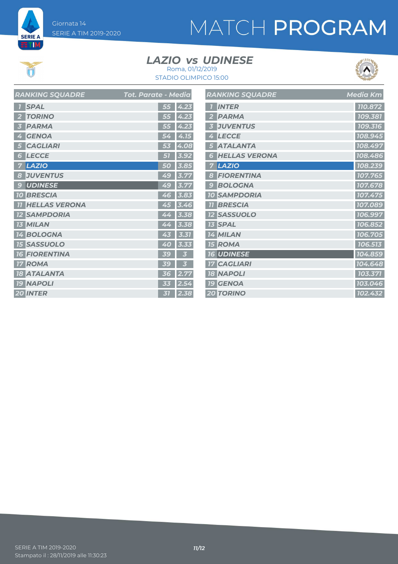

**ET M** 

# MATCH PROGRAM

### *LAZIO UDINESE vs*



STADIO OLIMPICO 15:00 Roma, 01/12/2019

| <b>RANKING SQUADRE</b> | Tot. Parate - Media |
|------------------------|---------------------|
| <b>SPAL</b>            | 55<br>4.23          |
| <b>TORINO</b>          | 4.23                |
| 2                      | 55                  |
| <b>PARMA</b>           | 55<br>4.23          |
| <b>GENOA</b>           | 4.15                |
| 4                      | 54                  |
| <b>CAGLIARI</b>        | 4.08<br>53          |
| <b>LECCE</b>           | 3.92                |
| 6                      | 51                  |
| <b>LAZIO</b>           | 50                  |
| 7                      | 3.85                |
| <b>JUVENTUS</b>        | 49                  |
| 8                      | 3.77                |
| <b>UDINESE</b>         | 49                  |
| $\mathbf{C}$           | 3.77                |
| <b>BRESCIA</b>         | 46                  |
| 10                     | 3.83                |
| <b>HELLAS VERONA</b>   | 45                  |
| 77                     | 3.46                |
| <b>SAMPDORIA</b>       | 3.38<br>44          |
| <b>MILAN</b>           | 44                  |
| 13                     | 3.38                |
| <b>BOLOGNA</b>         | 43                  |
| 14                     | 3.31                |
| <b>SASSUOLO</b>        | 40                  |
| <b>15</b>              | 3.33                |
| <b>FIORENTINA</b>      | 39                  |
| 16                     | 3                   |
| <b>ROMA</b>            | 3                   |
| 17                     | 39                  |
| <b>ATALANTA</b>        | 2.77                |
| <b>18</b>              | 36                  |
| <b>NAPOLI</b>          | 33                  |
| <b>19</b>              | 2.5                 |
| <b>20 INTER</b>        | 31<br>2.38          |

|                         | <b>RANKING SQUADRE</b> | <b>Media Km</b> |
|-------------------------|------------------------|-----------------|
| $\overline{1}$          | <b>INTER</b>           | 110.872         |
| $\overline{2}$          | <b>PARMA</b>           | 109.381         |
| $\overline{\mathbf{3}}$ | <b>JUVENTUS</b>        | 109.316         |
| 4                       | <b>LECCE</b>           | 108.945         |
| 5                       | <b>ATALANTA</b>        | 108.497         |
| 6                       | <b>HELLAS VERONA</b>   | 108.486         |
| 7                       | <b>LAZIO</b>           | 108.239         |
| 8                       | <b>FIORENTINA</b>      | 107.765         |
| 9                       | <b>BOLOGNA</b>         | 107.678         |
|                         | <b>10 SAMPDORIA</b>    | 107.475         |
| 77                      | <b>BRESCIA</b>         | 107.089         |
|                         | <b>12 SASSUOLO</b>     | 106.997         |
|                         | <b>13 SPAL</b>         | 106.852         |
|                         | 14 MILAN               | 106.705         |
|                         | <b>15 ROMA</b>         | 106.513         |
|                         | <b>16 UDINESE</b>      | 104.859         |
|                         | <b>17 CAGLIARI</b>     | 104.648         |
|                         | <b>18 NAPOLI</b>       | 103.371         |
|                         | <b>19 GENOA</b>        | 103.046         |
|                         | <b>20 TORINO</b>       | 102.432         |